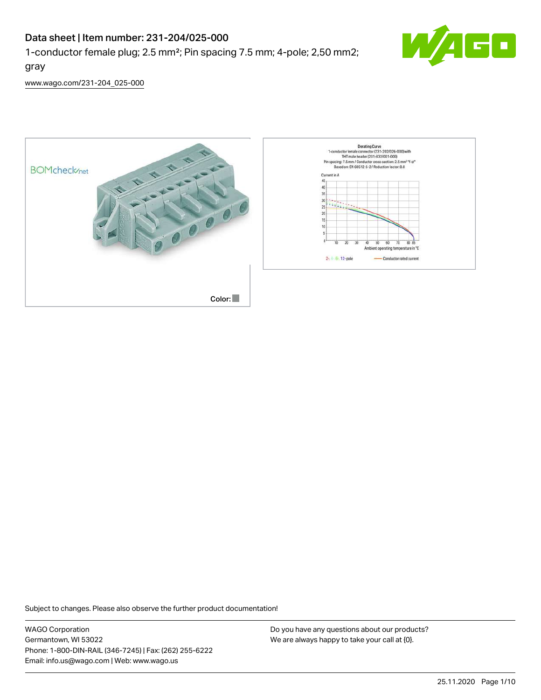# Data sheet | Item number: 231-204/025-000

1-conductor female plug; 2.5 mm²; Pin spacing 7.5 mm; 4-pole; 2,50 mm2;



[www.wago.com/231-204\\_025-000](http://www.wago.com/231-204_025-000)

gray



Subject to changes. Please also observe the further product documentation!

WAGO Corporation Germantown, WI 53022 Phone: 1-800-DIN-RAIL (346-7245) | Fax: (262) 255-6222 Email: info.us@wago.com | Web: www.wago.us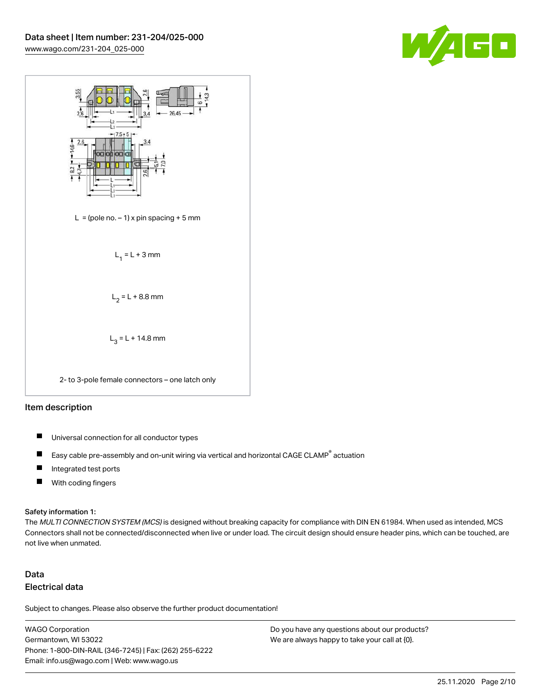



### Item description

- $\blacksquare$ Universal connection for all conductor types
- Easy cable pre-assembly and on-unit wiring via vertical and horizontal CAGE CLAMP<sup>®</sup> actuation П
- $\blacksquare$ Integrated test ports
- $\blacksquare$ With coding fingers

#### Safety information 1:

The MULTI CONNECTION SYSTEM (MCS) is designed without breaking capacity for compliance with DIN EN 61984. When used as intended, MCS Connectors shall not be connected/disconnected when live or under load. The circuit design should ensure header pins, which can be touched, are not live when unmated.

# Data Electrical data

Subject to changes. Please also observe the further product documentation!

WAGO Corporation Germantown, WI 53022 Phone: 1-800-DIN-RAIL (346-7245) | Fax: (262) 255-6222 Email: info.us@wago.com | Web: www.wago.us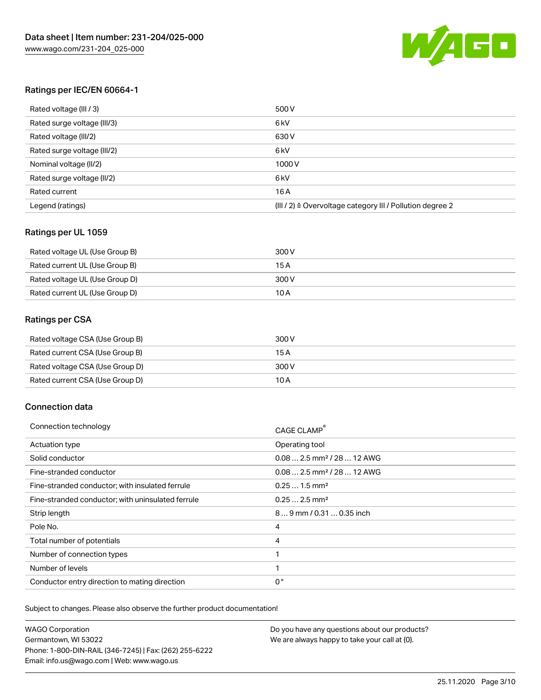

# Ratings per IEC/EN 60664-1

| Rated voltage (III / 3)     | 500 V                                                                 |
|-----------------------------|-----------------------------------------------------------------------|
| Rated surge voltage (III/3) | 6 <sub>kV</sub>                                                       |
| Rated voltage (III/2)       | 630 V                                                                 |
| Rated surge voltage (III/2) | 6 <sub>kV</sub>                                                       |
| Nominal voltage (II/2)      | 1000V                                                                 |
| Rated surge voltage (II/2)  | 6 <sub>kV</sub>                                                       |
| Rated current               | 16A                                                                   |
| Legend (ratings)            | $(III / 2)$ $\triangle$ Overvoltage category III / Pollution degree 2 |

# Ratings per UL 1059

| Rated voltage UL (Use Group B) | 300 V |
|--------------------------------|-------|
| Rated current UL (Use Group B) | 15 A  |
| Rated voltage UL (Use Group D) | 300 V |
| Rated current UL (Use Group D) | 10 A  |

### Ratings per CSA

| Rated voltage CSA (Use Group B) | 300 V |
|---------------------------------|-------|
| Rated current CSA (Use Group B) | 15 A  |
| Rated voltage CSA (Use Group D) | 300 V |
| Rated current CSA (Use Group D) | 10 A  |

# Connection data

| Connection technology                             | <b>CAGE CLAMP</b>                       |
|---------------------------------------------------|-----------------------------------------|
| Actuation type                                    | Operating tool                          |
| Solid conductor                                   | $0.08$ 2.5 mm <sup>2</sup> / 28  12 AWG |
| Fine-stranded conductor                           | $0.08$ 2.5 mm <sup>2</sup> / 28  12 AWG |
| Fine-stranded conductor; with insulated ferrule   | $0.251.5$ mm <sup>2</sup>               |
| Fine-stranded conductor; with uninsulated ferrule | $0.252.5$ mm <sup>2</sup>               |
| Strip length                                      | 89 mm / 0.31  0.35 inch                 |
| Pole No.                                          | 4                                       |
| Total number of potentials                        | 4                                       |
| Number of connection types                        |                                         |
| Number of levels                                  | 1                                       |
| Conductor entry direction to mating direction     | 0°                                      |

Subject to changes. Please also observe the further product documentation!

WAGO Corporation Germantown, WI 53022 Phone: 1-800-DIN-RAIL (346-7245) | Fax: (262) 255-6222 Email: info.us@wago.com | Web: www.wago.us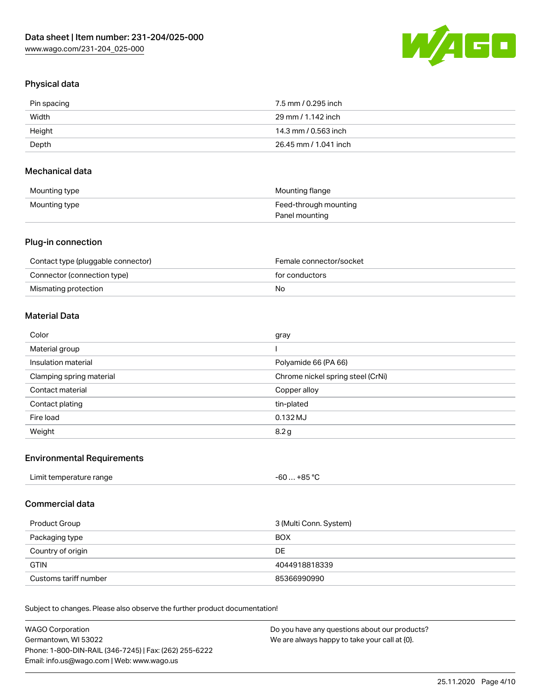

# Physical data

| Pin spacing | 7.5 mm / 0.295 inch   |
|-------------|-----------------------|
| Width       | 29 mm / 1.142 inch    |
| Height      | 14.3 mm / 0.563 inch  |
| Depth       | 26.45 mm / 1.041 inch |

## Mechanical data

| Mounting type | Mounting flange       |
|---------------|-----------------------|
| Mounting type | Feed-through mounting |
|               | Panel mounting        |

# Plug-in connection

| Contact type (pluggable connector) | Female connector/socket |
|------------------------------------|-------------------------|
| Connector (connection type)        | for conductors          |
| Mismating protection               | No                      |

# Material Data

| Color                    | gray                              |
|--------------------------|-----------------------------------|
| Material group           |                                   |
| Insulation material      | Polyamide 66 (PA 66)              |
| Clamping spring material | Chrome nickel spring steel (CrNi) |
| Contact material         | Copper alloy                      |
| Contact plating          | tin-plated                        |
| Fire load                | $0.132$ MJ                        |
| Weight                   | 8.2 <sub>g</sub>                  |

# Environmental Requirements

| Limit temperature range<br>.<br>. | . +85 °Ր<br>-60 |  |
|-----------------------------------|-----------------|--|
|                                   |                 |  |

# Commercial data

| Product Group         | 3 (Multi Conn. System) |
|-----------------------|------------------------|
| Packaging type        | <b>BOX</b>             |
| Country of origin     | DE                     |
| <b>GTIN</b>           | 4044918818339          |
| Customs tariff number | 85366990990            |

Subject to changes. Please also observe the further product documentation!

| WAGO Corporation                                       | Do you have any questions about our products? |
|--------------------------------------------------------|-----------------------------------------------|
| Germantown, WI 53022                                   | We are always happy to take your call at {0}. |
| Phone: 1-800-DIN-RAIL (346-7245)   Fax: (262) 255-6222 |                                               |
| Email: info.us@wago.com   Web: www.wago.us             |                                               |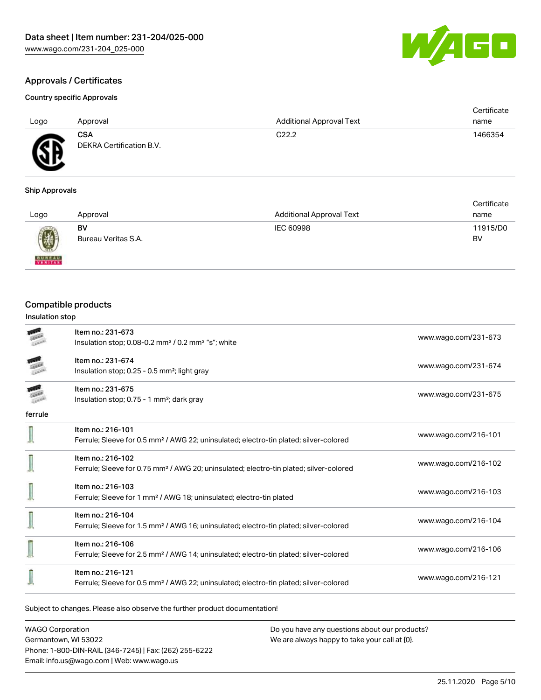

### Country specific Approvals

| AG<br>$\cdot$ gives<br>- 2 |
|----------------------------|
|----------------------------|

| Logo | Approval                               | <b>Additional Approval Text</b> | Certificate<br>name |
|------|----------------------------------------|---------------------------------|---------------------|
| Æ    | <b>CSA</b><br>DEKRA Certification B.V. | C <sub>22.2</sub>               | 1466354             |
|      |                                        |                                 |                     |

# Ship Approvals

|                                                                                                                                                                                                                                                                                                                                                                                                                                                                                     |                     |                                 | Certificate |
|-------------------------------------------------------------------------------------------------------------------------------------------------------------------------------------------------------------------------------------------------------------------------------------------------------------------------------------------------------------------------------------------------------------------------------------------------------------------------------------|---------------------|---------------------------------|-------------|
| Logo                                                                                                                                                                                                                                                                                                                                                                                                                                                                                | Approval            | <b>Additional Approval Text</b> | name        |
| $\bigcirc\!\!\!\!\! \bigcirc\!\!\!\!\! \bigcirc\!\!\!\!\! \bigcirc\!\!\!\!\! \bigcirc\!\!\!\!\! \bigcirc\!\!\!\!\! \bigcirc\!\!\!\!\! \bigcirc\!\!\!\!\! \bigcirc\!\!\!\!\! \bigcirc\!\!\!\!\! \bigcirc\!\!\!\!\! \bigcirc\!\!\!\!\! \bigcirc\!\!\!\!\! \bigcirc\!\!\!\!\! \bigcirc\!\!\!\!\! \bigcirc\!\!\!\!\! \bigcirc\!\!\!\!\! \bigcirc\!\!\!\!\! \bigcirc\!\!\!\!\! \bigcirc\!\!\!\!\! \bigcirc\!\!\!\!\! \bigcirc\!\!\!\!\! \bigcirc\!\!\!\!\! \bigcirc\!\!\!\!\! \bigcirc\$ | BV                  | IEC 60998                       | 11915/D0    |
|                                                                                                                                                                                                                                                                                                                                                                                                                                                                                     | Bureau Veritas S.A. |                                 | BV          |
| <b>BUREAU</b>                                                                                                                                                                                                                                                                                                                                                                                                                                                                       |                     |                                 |             |

# Compatible products

| Insulation stop |                                                                                                                         |                      |  |
|-----------------|-------------------------------------------------------------------------------------------------------------------------|----------------------|--|
|                 | Item no.: 231-673<br>Insulation stop; 0.08-0.2 mm <sup>2</sup> / 0.2 mm <sup>2</sup> "s"; white                         | www.wago.com/231-673 |  |
|                 | Item no.: 231-674<br>Insulation stop; 0.25 - 0.5 mm <sup>2</sup> ; light gray                                           | www.wago.com/231-674 |  |
|                 | Item no.: 231-675<br>Insulation stop; $0.75 - 1$ mm <sup>2</sup> ; dark gray                                            | www.wago.com/231-675 |  |
| ferrule         |                                                                                                                         |                      |  |
|                 | Item no.: 216-101<br>Ferrule; Sleeve for 0.5 mm <sup>2</sup> / AWG 22; uninsulated; electro-tin plated; silver-colored  | www.wago.com/216-101 |  |
|                 | Item no.: 216-102<br>Ferrule; Sleeve for 0.75 mm <sup>2</sup> / AWG 20; uninsulated; electro-tin plated; silver-colored | www.wago.com/216-102 |  |
|                 | Item no.: 216-103<br>Ferrule; Sleeve for 1 mm <sup>2</sup> / AWG 18; uninsulated; electro-tin plated                    | www.wago.com/216-103 |  |
|                 | Item no.: 216-104<br>Ferrule; Sleeve for 1.5 mm <sup>2</sup> / AWG 16; uninsulated; electro-tin plated; silver-colored  | www.wago.com/216-104 |  |
|                 | Item no.: 216-106<br>Ferrule; Sleeve for 2.5 mm <sup>2</sup> / AWG 14; uninsulated; electro-tin plated; silver-colored  | www.wago.com/216-106 |  |
|                 | Item no.: 216-121<br>Ferrule; Sleeve for 0.5 mm <sup>2</sup> / AWG 22; uninsulated; electro-tin plated; silver-colored  | www.wago.com/216-121 |  |

Subject to changes. Please also observe the further product documentation!

WAGO Corporation Germantown, WI 53022 Phone: 1-800-DIN-RAIL (346-7245) | Fax: (262) 255-6222 Email: info.us@wago.com | Web: www.wago.us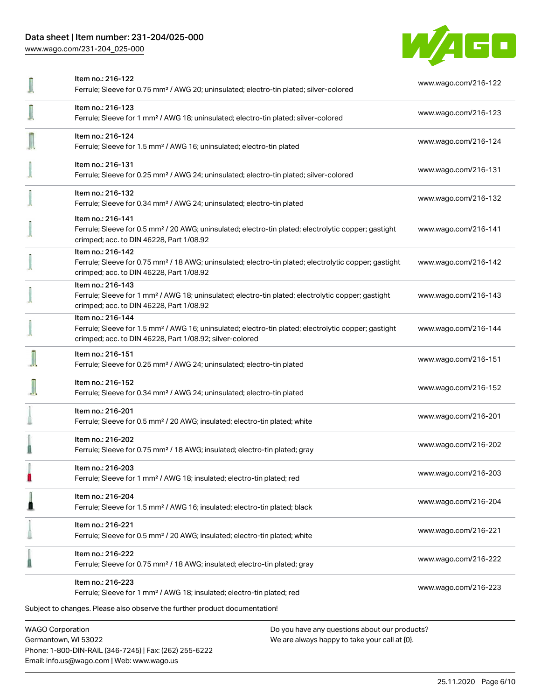# Data sheet | Item number: 231-204/025-000

[www.wago.com/231-204\\_025-000](http://www.wago.com/231-204_025-000)



| <b>WAGO Corporation</b><br>Do you have any questions about our products?                                                                                                                          |                      |
|---------------------------------------------------------------------------------------------------------------------------------------------------------------------------------------------------|----------------------|
| Item no.: 216-223<br>Ferrule; Sleeve for 1 mm <sup>2</sup> / AWG 18; insulated; electro-tin plated; red<br>Subject to changes. Please also observe the further product documentation!             | www.wago.com/216-223 |
| Item no.: 216-222<br>Ferrule; Sleeve for 0.75 mm <sup>2</sup> / 18 AWG; insulated; electro-tin plated; gray                                                                                       | www.wago.com/216-222 |
| Item no.: 216-221<br>Ferrule; Sleeve for 0.5 mm <sup>2</sup> / 20 AWG; insulated; electro-tin plated; white                                                                                       | www.wago.com/216-221 |
| Item no.: 216-204<br>Ferrule; Sleeve for 1.5 mm <sup>2</sup> / AWG 16; insulated; electro-tin plated; black                                                                                       | www.wago.com/216-204 |
| Item no.: 216-203<br>Ferrule; Sleeve for 1 mm <sup>2</sup> / AWG 18; insulated; electro-tin plated; red                                                                                           | www.wago.com/216-203 |
| Item no.: 216-202<br>Ferrule; Sleeve for 0.75 mm <sup>2</sup> / 18 AWG; insulated; electro-tin plated; gray                                                                                       | www.wago.com/216-202 |
| Item no.: 216-201<br>Ferrule; Sleeve for 0.5 mm <sup>2</sup> / 20 AWG; insulated; electro-tin plated; white                                                                                       | www.wago.com/216-201 |
| Item no.: 216-152<br>Ferrule; Sleeve for 0.34 mm <sup>2</sup> / AWG 24; uninsulated; electro-tin plated                                                                                           | www.wago.com/216-152 |
| Item no.: 216-151<br>Ferrule; Sleeve for 0.25 mm <sup>2</sup> / AWG 24; uninsulated; electro-tin plated                                                                                           | www.wago.com/216-151 |
| Item no.: 216-144<br>Ferrule; Sleeve for 1.5 mm <sup>2</sup> / AWG 16; uninsulated; electro-tin plated; electrolytic copper; gastight<br>crimped; acc. to DIN 46228, Part 1/08.92; silver-colored | www.wago.com/216-144 |
| Item no.: 216-143<br>Ferrule; Sleeve for 1 mm <sup>2</sup> / AWG 18; uninsulated; electro-tin plated; electrolytic copper; gastight<br>crimped; acc. to DIN 46228, Part 1/08.92                   | www.wago.com/216-143 |
| Item no.: 216-142<br>Ferrule; Sleeve for 0.75 mm <sup>2</sup> / 18 AWG; uninsulated; electro-tin plated; electrolytic copper; gastight<br>crimped; acc. to DIN 46228, Part 1/08.92                | www.wago.com/216-142 |
| Item no.: 216-141<br>Ferrule; Sleeve for 0.5 mm <sup>2</sup> / 20 AWG; uninsulated; electro-tin plated; electrolytic copper; gastight<br>crimped; acc. to DIN 46228, Part 1/08.92                 | www.wago.com/216-141 |
| Item no.: 216-132<br>Ferrule; Sleeve for 0.34 mm <sup>2</sup> / AWG 24; uninsulated; electro-tin plated                                                                                           | www.wago.com/216-132 |
| Item no.: 216-131<br>Ferrule; Sleeve for 0.25 mm <sup>2</sup> / AWG 24; uninsulated; electro-tin plated; silver-colored                                                                           | www.wago.com/216-131 |
| Item no.: 216-124<br>Ferrule; Sleeve for 1.5 mm <sup>2</sup> / AWG 16; uninsulated; electro-tin plated                                                                                            | www.wago.com/216-124 |
| Item no.: 216-123<br>Ferrule; Sleeve for 1 mm <sup>2</sup> / AWG 18; uninsulated; electro-tin plated; silver-colored                                                                              | www.wago.com/216-123 |
| Item no.: 216-122<br>Ferrule; Sleeve for 0.75 mm <sup>2</sup> / AWG 20; uninsulated; electro-tin plated; silver-colored                                                                           | www.wago.com/216-122 |

Germantown, WI 53022 Phone: 1-800-DIN-RAIL (346-7245) | Fax: (262) 255-6222 Email: info.us@wago.com | Web: www.wago.us

We are always happy to take your call at {0}.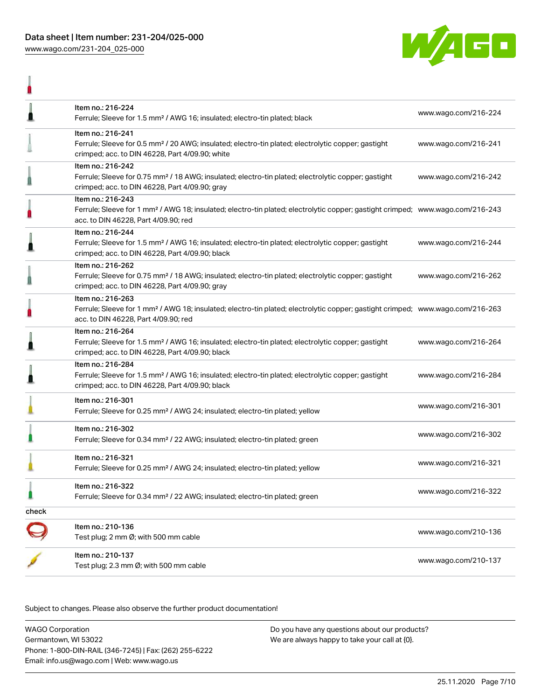

| l     | Item no.: 216-224<br>Ferrule; Sleeve for 1.5 mm <sup>2</sup> / AWG 16; insulated; electro-tin plated; black                                                                                             | www.wago.com/216-224 |
|-------|---------------------------------------------------------------------------------------------------------------------------------------------------------------------------------------------------------|----------------------|
|       | Item no.: 216-241<br>Ferrule; Sleeve for 0.5 mm <sup>2</sup> / 20 AWG; insulated; electro-tin plated; electrolytic copper; gastight<br>crimped; acc. to DIN 46228, Part 4/09.90; white                  | www.wago.com/216-241 |
| Δ     | Item no.: 216-242<br>Ferrule; Sleeve for 0.75 mm <sup>2</sup> / 18 AWG; insulated; electro-tin plated; electrolytic copper; gastight<br>crimped; acc. to DIN 46228, Part 4/09.90; gray                  | www.wago.com/216-242 |
|       | Item no.: 216-243<br>Ferrule; Sleeve for 1 mm <sup>2</sup> / AWG 18; insulated; electro-tin plated; electrolytic copper; gastight crimped; www.wago.com/216-243<br>acc. to DIN 46228, Part 4/09.90; red |                      |
| Ä     | Item no.: 216-244<br>Ferrule; Sleeve for 1.5 mm <sup>2</sup> / AWG 16; insulated; electro-tin plated; electrolytic copper; gastight<br>crimped; acc. to DIN 46228, Part 4/09.90; black                  | www.wago.com/216-244 |
| i     | Item no.: 216-262<br>Ferrule; Sleeve for 0.75 mm <sup>2</sup> / 18 AWG; insulated; electro-tin plated; electrolytic copper; gastight<br>crimped; acc. to DIN 46228, Part 4/09.90; gray                  | www.wago.com/216-262 |
| ı     | Item no.: 216-263<br>Ferrule; Sleeve for 1 mm <sup>2</sup> / AWG 18; insulated; electro-tin plated; electrolytic copper; gastight crimped; www.wago.com/216-263<br>acc. to DIN 46228, Part 4/09.90; red |                      |
| l     | Item no.: 216-264<br>Ferrule; Sleeve for 1.5 mm <sup>2</sup> / AWG 16; insulated; electro-tin plated; electrolytic copper; gastight<br>crimped; acc. to DIN 46228, Part 4/09.90; black                  | www.wago.com/216-264 |
| Ä     | Item no.: 216-284<br>Ferrule; Sleeve for 1.5 mm <sup>2</sup> / AWG 16; insulated; electro-tin plated; electrolytic copper; gastight<br>crimped; acc. to DIN 46228, Part 4/09.90; black                  | www.wago.com/216-284 |
|       | Item no.: 216-301<br>Ferrule; Sleeve for 0.25 mm <sup>2</sup> / AWG 24; insulated; electro-tin plated; yellow                                                                                           | www.wago.com/216-301 |
|       | Item no.: 216-302<br>Ferrule; Sleeve for 0.34 mm <sup>2</sup> / 22 AWG; insulated; electro-tin plated; green                                                                                            | www.wago.com/216-302 |
|       | Item no.: 216-321<br>Ferrule; Sleeve for 0.25 mm <sup>2</sup> / AWG 24; insulated; electro-tin plated; yellow                                                                                           | www.wago.com/216-321 |
| Ω     | Item no.: 216-322<br>Ferrule; Sleeve for 0.34 mm <sup>2</sup> / 22 AWG; insulated; electro-tin plated; green                                                                                            | www.wago.com/216-322 |
| check |                                                                                                                                                                                                         |                      |
|       | Item no.: 210-136<br>Test plug; 2 mm Ø; with 500 mm cable                                                                                                                                               | www.wago.com/210-136 |
|       | Item no.: 210-137<br>Test plug; 2.3 mm Ø; with 500 mm cable                                                                                                                                             | www.wago.com/210-137 |

Subject to changes. Please also observe the further product documentation!

WAGO Corporation Germantown, WI 53022 Phone: 1-800-DIN-RAIL (346-7245) | Fax: (262) 255-6222 Email: info.us@wago.com | Web: www.wago.us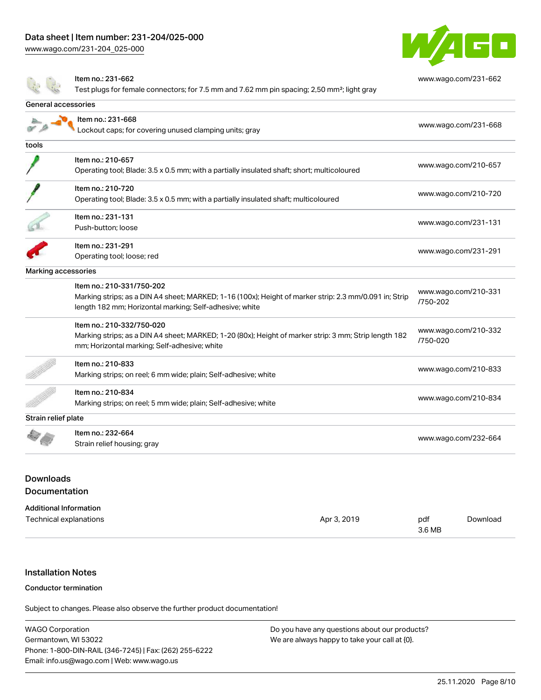# Data sheet | Item number: 231-204/025-000

[www.wago.com/231-204\\_025-000](http://www.wago.com/231-204_025-000)

 $\frac{1}{2}$ 



[www.wago.com/231-662](http://www.wago.com/231-662)

Item no.: 231-662

Test plugs for female connectors; for 7.5 mm and 7.62 mm pin spacing; 2,50 mm²; light gray

| General accessories |                                                                                                                                                                                                |                                  |
|---------------------|------------------------------------------------------------------------------------------------------------------------------------------------------------------------------------------------|----------------------------------|
|                     | Item no.: 231-668<br>ockout caps; for covering unused clamping units; gray                                                                                                                     | www.wago.com/231-668             |
| tools               |                                                                                                                                                                                                |                                  |
|                     | Item no.: 210-657<br>Operating tool; Blade: 3.5 x 0.5 mm; with a partially insulated shaft; short; multicoloured                                                                               | www.wago.com/210-657             |
|                     | Item no.: 210-720<br>Operating tool; Blade: 3.5 x 0.5 mm; with a partially insulated shaft; multicoloured                                                                                      | www.wago.com/210-720             |
|                     | Item no.: 231-131<br>Push-button; loose                                                                                                                                                        | www.wago.com/231-131             |
|                     | Item no.: 231-291<br>Operating tool; loose; red                                                                                                                                                | www.wago.com/231-291             |
| Marking accessories |                                                                                                                                                                                                |                                  |
|                     | Item no.: 210-331/750-202<br>Marking strips; as a DIN A4 sheet; MARKED; 1-16 (100x); Height of marker strip: 2.3 mm/0.091 in; Strip<br>length 182 mm; Horizontal marking; Self-adhesive; white | www.wago.com/210-331<br>/750-202 |
|                     | Item no.: 210-332/750-020<br>Marking strips; as a DIN A4 sheet; MARKED; 1-20 (80x); Height of marker strip: 3 mm; Strip length 182<br>mm; Horizontal marking; Self-adhesive; white             | www.wago.com/210-332<br>/750-020 |
|                     | Item no.: 210-833<br>Marking strips; on reel; 6 mm wide; plain; Self-adhesive; white                                                                                                           | www.wago.com/210-833             |
|                     | Item no.: 210-834<br>Marking strips; on reel; 5 mm wide; plain; Self-adhesive; white                                                                                                           | www.wago.com/210-834             |
| Strain relief plate |                                                                                                                                                                                                |                                  |
|                     | Item no.: 232-664<br>Strain relief housing; gray                                                                                                                                               | www.wago.com/232-664             |
|                     |                                                                                                                                                                                                |                                  |

# **Downloads** Documentation

#### Additional Information

| Technical explanations | Apr 3, 2019 | pdf    | Download |
|------------------------|-------------|--------|----------|
|                        |             | 3.6 MB |          |

# Installation Notes

#### Conductor termination

Subject to changes. Please also observe the further product documentation!

| <b>WAGO Corporation</b>                                | Do you have any questions about our products? |
|--------------------------------------------------------|-----------------------------------------------|
| Germantown, WI 53022                                   | We are always happy to take your call at {0}. |
| Phone: 1-800-DIN-RAIL (346-7245)   Fax: (262) 255-6222 |                                               |
| Email: info.us@wago.com   Web: www.wago.us             |                                               |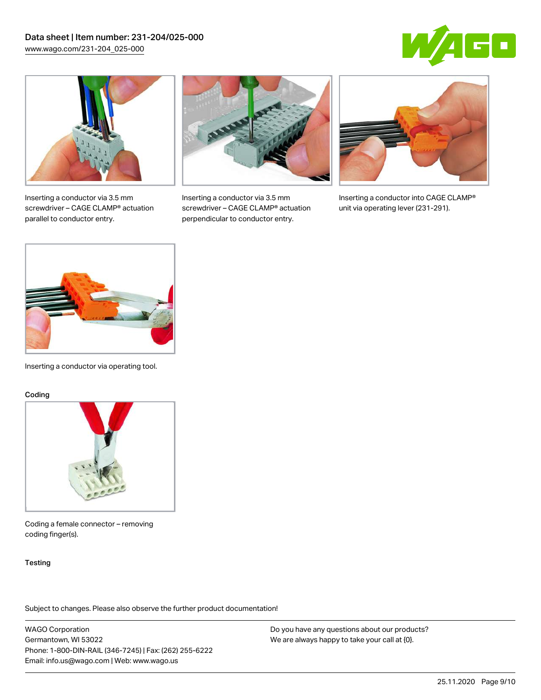



Inserting a conductor via 3.5 mm screwdriver – CAGE CLAMP® actuation parallel to conductor entry.



Inserting a conductor via 3.5 mm screwdriver – CAGE CLAMP® actuation perpendicular to conductor entry.



Inserting a conductor into CAGE CLAMP® unit via operating lever (231-291).



Inserting a conductor via operating tool.

#### Coding



Coding a female connector – removing coding finger(s).

#### **Testing**

Subject to changes. Please also observe the further product documentation!

WAGO Corporation Germantown, WI 53022 Phone: 1-800-DIN-RAIL (346-7245) | Fax: (262) 255-6222 Email: info.us@wago.com | Web: www.wago.us